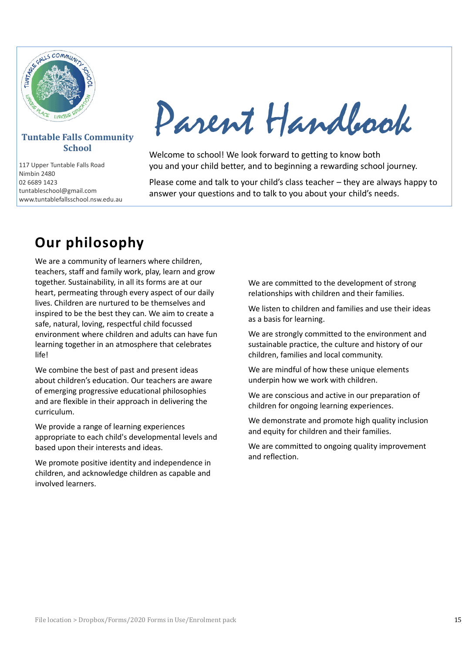

#### **Tuntable Falls Community School**

117 Upper Tuntable Falls Road Nimbin 2480 02 6689 1423 tuntableschool@gmail.com www.tuntablefallsschool.nsw.edu.au

Parent Handbook

Welcome to school! We look forward to getting to know both you and your child better, and to beginning a rewarding school journey.

Please come and talk to your child's class teacher – they are always happy to answer your questions and to talk to you about your child's needs.

# **Our philosophy**

We are a community of learners where children, teachers, staff and family work, play, learn and grow together. Sustainability, in all its forms are at our heart, permeating through every aspect of our daily lives. Children are nurtured to be themselves and inspired to be the best they can. We aim to create a safe, natural, loving, respectful child focussed environment where children and adults can have fun learning together in an atmosphere that celebrates life!

We combine the best of past and present ideas about children's education. Our teachers are aware of emerging progressive educational philosophies and are flexible in their approach in delivering the curriculum.

We provide a range of learning experiences appropriate to each child's developmental levels and based upon their interests and ideas.

We promote positive identity and independence in children, and acknowledge children as capable and involved learners.

We are committed to the development of strong relationships with children and their families.

We listen to children and families and use their ideas as a basis for learning.

We are strongly committed to the environment and sustainable practice, the culture and history of our children, families and local community.

We are mindful of how these unique elements underpin how we work with children.

We are conscious and active in our preparation of children for ongoing learning experiences.

We demonstrate and promote high quality inclusion and equity for children and their families.

We are committed to ongoing quality improvement and reflection.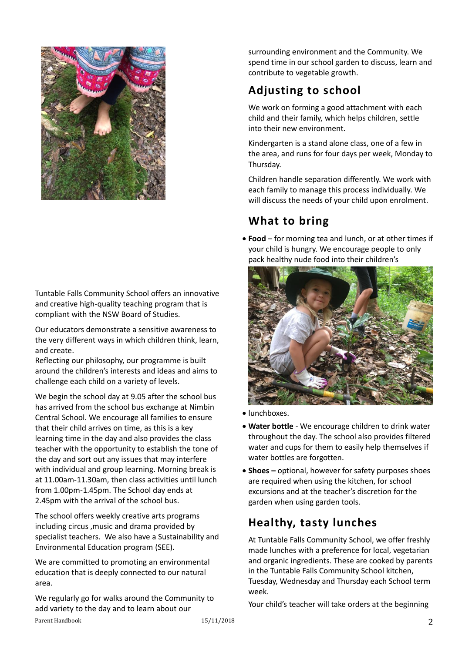

Tuntable Falls Community School offers an innovative and creative high-quality teaching program that is compliant with the NSW Board of Studies.

Our educators demonstrate a sensitive awareness to the very different ways in which children think, learn, and create.

Reflecting our philosophy, our programme is built around the children's interests and ideas and aims to challenge each child on a variety of levels.

We begin the school day at 9.05 after the school bus has arrived from the school bus exchange at Nimbin Central School. We encourage all families to ensure that their child arrives on time, as this is a key learning time in the day and also provides the class teacher with the opportunity to establish the tone of the day and sort out any issues that may interfere with individual and group learning. Morning break is at 11.00am-11.30am, then class activities until lunch from 1.00pm-1.45pm. The School day ends at 2.45pm with the arrival of the school bus.

The school offers weekly creative arts programs including circus ,music and drama provided by specialist teachers. We also have a Sustainability and Environmental Education program (SEE).

We are committed to promoting an environmental education that is deeply connected to our natural area.

We regularly go for walks around the Community to add variety to the day and to learn about our

surrounding environment and the Community. We spend time in our school garden to discuss, learn and contribute to vegetable growth.

## **Adjusting to school**

We work on forming a good attachment with each child and their family, which helps children, settle into their new environment.

Kindergarten is a stand alone class, one of a few in the area, and runs for four days per week, Monday to Thursday.

Children handle separation differently. We work with each family to manage this process individually. We will discuss the needs of your child upon enrolment.

## **What to bring**

• **Food** – for morning tea and lunch, or at other times if your child is hungry. We encourage people to only pack healthy nude food into their children's



- lunchboxes.
- **Water bottle** We encourage children to drink water throughout the day. The school also provides filtered water and cups for them to easily help themselves if water bottles are forgotten.
- **Shoes –** optional, however for safety purposes shoes are required when using the kitchen, for school excursions and at the teacher's discretion for the garden when using garden tools.

## **Healthy, tasty lunches**

At Tuntable Falls Community School, we offer freshly made lunches with a preference for local, vegetarian and organic ingredients. These are cooked by parents in the Tuntable Falls Community School kitchen, Tuesday, Wednesday and Thursday each School term week.

Your child's teacher will take orders at the beginning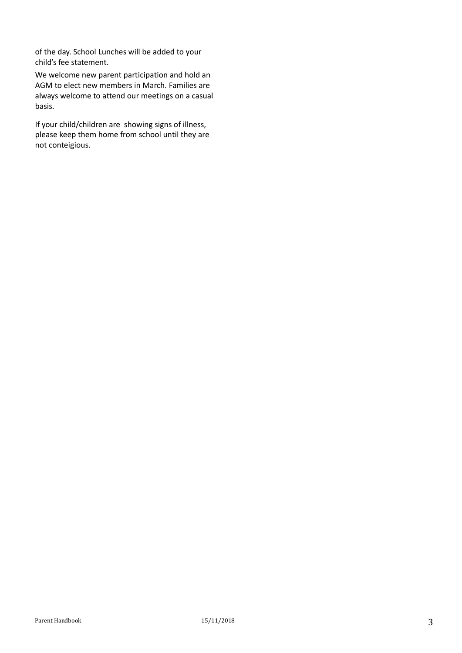of the day. School Lunches will be added to your child's fee statement.

We welcome new parent participation and hold an AGM to elect new members in March. Families are always welcome to attend our meetings on a casual basis.

If your child/children are showing signs of illness, please keep them home from school until they are not conteigious.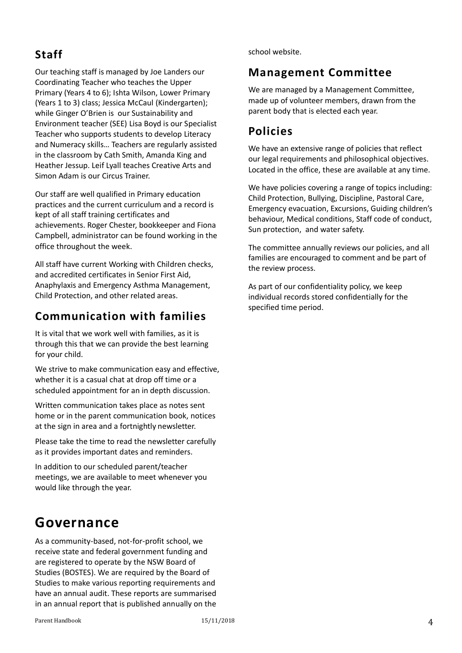## **Staff**

Our teaching staff is managed by Joe Landers our Coordinating Teacher who teaches the Upper Primary (Years 4 to 6); Ishta Wilson, Lower Primary (Years 1 to 3) class; Jessica McCaul (Kindergarten); while Ginger O'Brien is our Sustainability and Environment teacher (SEE) Lisa Boyd is our Specialist Teacher who supports students to develop Literacy and Numeracy skills… Teachers are regularly assisted in the classroom by Cath Smith, Amanda King and Heather Jessup. Leif Lyall teaches Creative Arts and Simon Adam is our Circus Trainer.

Our staff are well qualified in Primary education practices and the current curriculum and a record is kept of all staff training certificates and achievements. Roger Chester, bookkeeper and Fiona Campbell, administrator can be found working in the office throughout the week.

All staff have current Working with Children checks, and accredited certificates in Senior First Aid, Anaphylaxis and Emergency Asthma Management, Child Protection, and other related areas.

## **Communication with families**

It is vital that we work well with families, as it is through this that we can provide the best learning for your child.

We strive to make communication easy and effective, whether it is a casual chat at drop off time or a scheduled appointment for an in depth discussion.

Written communication takes place as notes sent home or in the parent communication book, notices at the sign in area and a fortnightly newsletter.

Please take the time to read the newsletter carefully as it provides important dates and reminders.

In addition to our scheduled parent/teacher meetings, we are available to meet whenever you would like through the year.

# **Governance**

As a community-based, not-for-profit school, we receive state and federal government funding and are registered to operate by the NSW Board of Studies (BOSTES). We are required by the Board of Studies to make various reporting requirements and have an annual audit. These reports are summarised in an annual report that is published annually on the

school website.

### **Management Committee**

We are managed by a Management Committee, made up of volunteer members, drawn from the parent body that is elected each year.

### **Policies**

We have an extensive range of policies that reflect our legal requirements and philosophical objectives. Located in the office, these are available at any time.

We have policies covering a range of topics including: Child Protection, Bullying, Discipline, Pastoral Care, Emergency evacuation, Excursions, Guiding children's behaviour, Medical conditions, Staff code of conduct, Sun protection, and water safety.

The committee annually reviews our policies, and all families are encouraged to comment and be part of the review process.

As part of our confidentiality policy, we keep individual records stored confidentially for the specified time period.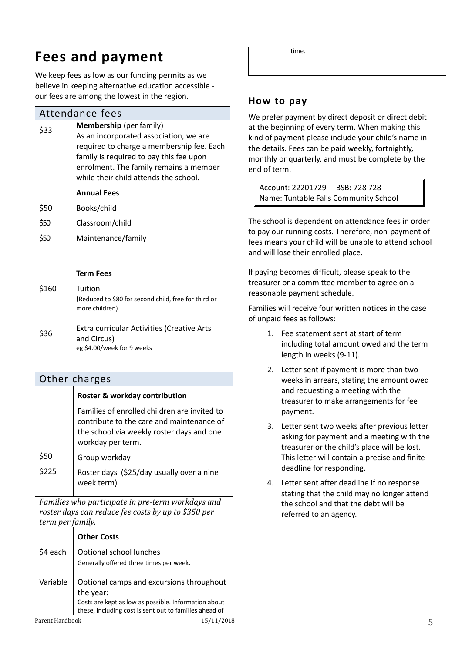# **Fees and payment**

We keep fees as low as our funding permits as we believe in keeping alternative education accessible our fees are among the lowest in the region.

| Attendance fees                                                                                                              |                                                                                                                                                                                                                                              |
|------------------------------------------------------------------------------------------------------------------------------|----------------------------------------------------------------------------------------------------------------------------------------------------------------------------------------------------------------------------------------------|
| \$33                                                                                                                         | Membership (per family)<br>As an incorporated association, we are<br>required to charge a membership fee. Each<br>family is required to pay this fee upon<br>enrolment. The family remains a member<br>while their child attends the school. |
|                                                                                                                              | <b>Annual Fees</b>                                                                                                                                                                                                                           |
| \$50                                                                                                                         | Books/child                                                                                                                                                                                                                                  |
| \$50                                                                                                                         | Classroom/child                                                                                                                                                                                                                              |
| \$50                                                                                                                         | Maintenance/family                                                                                                                                                                                                                           |
|                                                                                                                              | <b>Term Fees</b>                                                                                                                                                                                                                             |
| \$160                                                                                                                        | Tuition<br>(Reduced to \$80 for second child, free for third or<br>more children)                                                                                                                                                            |
| \$36                                                                                                                         | <b>Extra curricular Activities (Creative Arts</b><br>and Circus)<br>eg \$4.00/week for 9 weeks                                                                                                                                               |
| Other charges                                                                                                                |                                                                                                                                                                                                                                              |
|                                                                                                                              | Roster & workday contribution                                                                                                                                                                                                                |
|                                                                                                                              | Families of enrolled children are invited to<br>contribute to the care and maintenance of<br>the school via weekly roster days and one<br>workday per term.                                                                                  |
| \$50                                                                                                                         | Group workday                                                                                                                                                                                                                                |
| \$225                                                                                                                        | Roster days (\$25/day usually over a nine<br>week term)                                                                                                                                                                                      |
| Families who participate in pre-term workdays and<br>roster days can reduce fee costs by up to \$350 per<br>term per family. |                                                                                                                                                                                                                                              |
|                                                                                                                              | <b>Other Costs</b>                                                                                                                                                                                                                           |
| \$4 each                                                                                                                     | Optional school lunches<br>Generally offered three times per week.                                                                                                                                                                           |
| Variable                                                                                                                     | Optional camps and excursions throughout<br>the year:<br>Costs are kept as low as possible. Information about<br>these, including cost is sent out to families ahead of                                                                      |

time.

### **How to pay**

We prefer payment by direct deposit or direct debit at the beginning of every term. When making this kind of payment please include your child's name in the details. Fees can be paid weekly, fortnightly, monthly or quarterly, and must be complete by the end of term.

Account: 22201729 BSB: 728 728 Name: Tuntable Falls Community School

The school is dependent on attendance fees in order to pay our running costs. Therefore, non-payment of fees means your child will be unable to attend school and will lose their enrolled place.

If paying becomes difficult, please speak to the treasurer or a committee member to agree on a reasonable payment schedule.

Families will receive four written notices in the case of unpaid fees as follows:

- 1. Fee statement sent at start of term including total amount owed and the term length in weeks (9-11).
- 2. Letter sent if payment is more than two weeks in arrears, stating the amount owed and requesting a meeting with the treasurer to make arrangements for fee payment.
- 3. Letter sent two weeks after previous letter asking for payment and a meeting with the treasurer or the child's place will be lost. This letter will contain a precise and finite deadline for responding.
- 4. Letter sent after deadline if no response stating that the child may no longer attend the school and that the debt will be referred to an agency.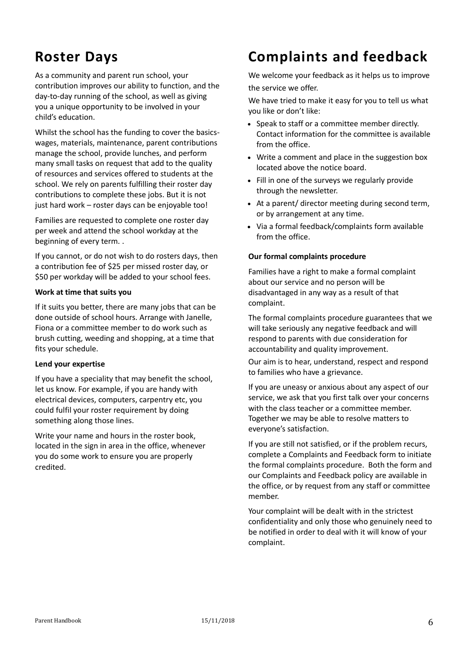# **Roster Days**

As a community and parent run school, your contribution improves our ability to function, and the day-to-day running of the school, as well as giving you a unique opportunity to be involved in your child's education.

Whilst the school has the funding to cover the basicswages, materials, maintenance, parent contributions manage the school, provide lunches, and perform many small tasks on request that add to the quality of resources and services offered to students at the school. We rely on parents fulfilling their roster day contributions to complete these jobs. But it is not just hard work – roster days can be enjoyable too!

Families are requested to complete one roster day per week and attend the school workday at the beginning of every term. .

If you cannot, or do not wish to do rosters days, then a contribution fee of \$25 per missed roster day, or \$50 per workday will be added to your school fees.

#### **Work at time that suits you**

If it suits you better, there are many jobs that can be done outside of school hours. Arrange with Janelle, Fiona or a committee member to do work such as brush cutting, weeding and shopping, at a time that fits your schedule.

#### **Lend your expertise**

If you have a speciality that may benefit the school, let us know. For example, if you are handy with electrical devices, computers, carpentry etc, you could fulfil your roster requirement by doing something along those lines.

Write your name and hours in the roster book, located in the sign in area in the office, whenever you do some work to ensure you are properly credited.

# **Complaints and feedback**

We welcome your feedback as it helps us to improve the service we offer.

We have tried to make it easy for you to tell us what you like or don't like:

- Speak to staff or a committee member directly. Contact information for the committee is available from the office.
- Write a comment and place in the suggestion box located above the notice board.
- Fill in one of the surveys we regularly provide through the newsletter.
- At a parent/ director meeting during second term, or by arrangement at any time.
- Via a formal feedback/complaints form available from the office.

#### **Our formal complaints procedure**

Families have a right to make a formal complaint about our service and no person will be disadvantaged in any way as a result of that complaint.

The formal complaints procedure guarantees that we will take seriously any negative feedback and will respond to parents with due consideration for accountability and quality improvement.

Our aim is to hear, understand, respect and respond to families who have a grievance.

If you are uneasy or anxious about any aspect of our service, we ask that you first talk over your concerns with the class teacher or a committee member. Together we may be able to resolve matters to everyone's satisfaction.

If you are still not satisfied, or if the problem recurs, complete a Complaints and Feedback form to initiate the formal complaints procedure. Both the form and our Complaints and Feedback policy are available in the office, or by request from any staff or committee member.

Your complaint will be dealt with in the strictest confidentiality and only those who genuinely need to be notified in order to deal with it will know of your complaint.